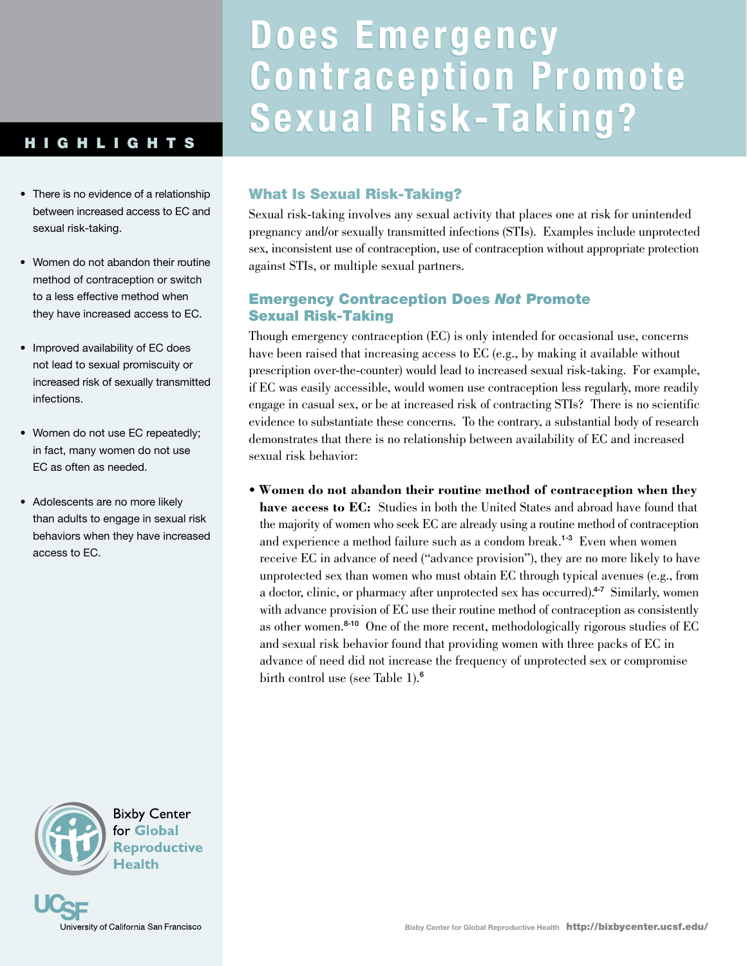# HIGHLIGHTS

- There is no evidence of a relationship between increased access to EC and sexual risk-taking.
- Women do not abandon their routine method of contraception or switch to a less effective method when they have increased access to EC.
- Improved availability of EC does not lead to sexual promiscuity or increased risk of sexually transmitted infections.
- Women do not use EC repeatedly; in fact, many women do not use EC as often as needed.
- Adolescents are no more likely than adults to engage in sexual risk behaviors when they have increased access to EC.



**Bixby Center** for Global **Reproductive Health** 



# **Does Emergency Does Emergency Contraception Promote Contraception Promote Sexual Risk-Taking? Sexual Risk-Taking?**

# What Is Sexual Risk-Taking?

Sexual risk-taking involves any sexual activity that places one at risk for unintended pregnancy and/or sexually transmitted infections (STIs). Examples include unprotected sex, inconsistent use of contraception, use of contraception without appropriate protection against STIs, or multiple sexual partners.

# Emergency Contraception Does *Not* Promote Sexual Risk-Taking

Though emergency contraception (EC) is only intended for occasional use, concerns have been raised that increasing access to EC (e.g., by making it available without prescription over-the-counter) would lead to increased sexual risk-taking. For example, if EC was easily accessible, would women use contraception less regularly, more readily engage in casual sex, or be at increased risk of contracting STIs? There is no scientific evidence to substantiate these concerns. To the contrary, a substantial body of research demonstrates that there is no relationship between availability of EC and increased sexual risk behavior:

• **Women do not abandon their routine method of contraception when they have access to EC:** Studies in both the United States and abroad have found that the majority of women who seek EC are already using a routine method of contraception and experience a method failure such as a condom break.<sup>1-3</sup> Even when women receive EC in advance of need ("advance provision"), they are no more likely to have unprotected sex than women who must obtain EC through typical avenues (e.g., from a doctor, clinic, or pharmacy after unprotected sex has occurred).<sup>4-7</sup> Similarly, women with advance provision of EC use their routine method of contraception as consistently as other women.8-10 One of the more recent, methodologically rigorous studies of EC and sexual risk behavior found that providing women with three packs of EC in advance of need did not increase the frequency of unprotected sex or compromise birth control use (see Table 1).<sup>6</sup>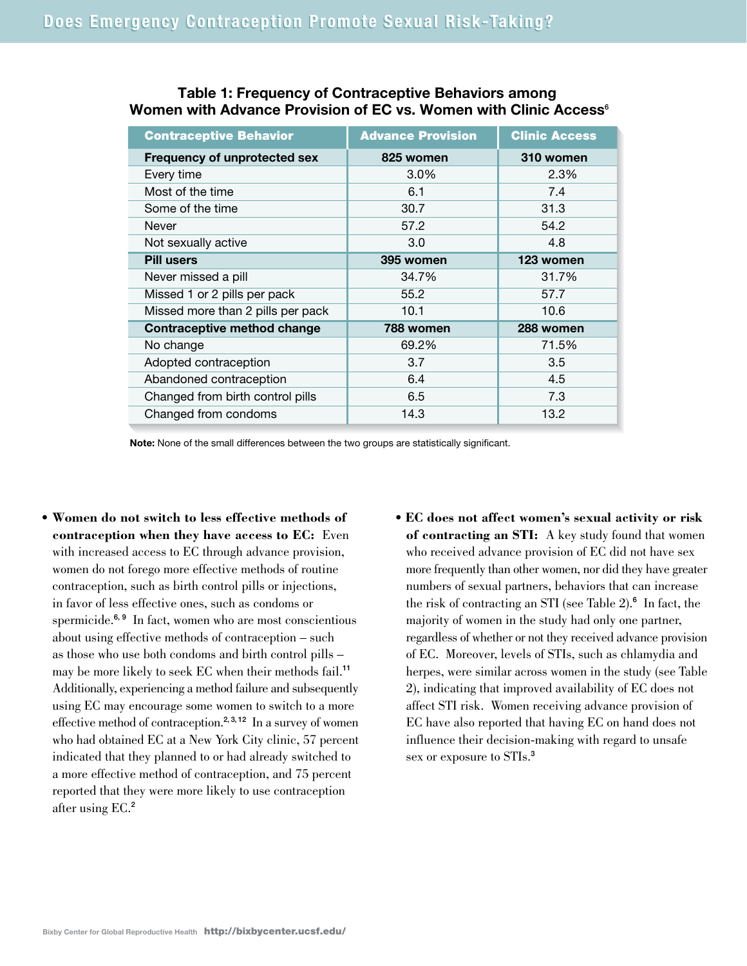| <b>Contraceptive Behavior</b>       | <b>Advance Provision</b> | <b>Clinic Access</b> |
|-------------------------------------|--------------------------|----------------------|
| <b>Frequency of unprotected sex</b> | 825 women                | 310 women            |
| Every time                          | 3.0%                     | 2.3%                 |
| Most of the time                    | 6.1                      | 7.4                  |
| Some of the time                    | 30.7                     | 31.3                 |
| Never                               | 57.2                     | 54.2                 |
| Not sexually active                 | 3.0                      | 4.8                  |
| <b>Pill users</b>                   | 395 women                | 123 women            |
| Never missed a pill                 | 34.7%                    | 31.7%                |
| Missed 1 or 2 pills per pack        | 55.2                     | 57.7                 |
| Missed more than 2 pills per pack   | 10.1                     | 10.6                 |
| Contraceptive method change         | 788 women                | 288 women            |
| No change                           | 69.2%                    | 71.5%                |
| Adopted contraception               | 3.7                      | 3.5                  |
| Abandoned contraception             | 6.4                      | 4.5                  |
| Changed from birth control pills    | 6.5                      | 7.3                  |
| Changed from condoms                | 14.3                     | 13.2                 |

### **Table 1: Frequency of Contraceptive Behaviors among Women with Advance Provision of EC vs. Women with Clinic Access**<sup>6</sup>

**Note:** None of the small differences between the two groups are statistically significant.

- **Women do not switch to less effective methods of contraception when they have access to EC:** Even with increased access to EC through advance provision, women do not forego more effective methods of routine contraception, such as birth control pills or injections, in favor of less effective ones, such as condoms or spermicide.<sup>6, 9</sup> In fact, women who are most conscientious about using effective methods of contraception – such as those who use both condoms and birth control pills – may be more likely to seek EC when their methods fail.<sup>11</sup> Additionally, experiencing a method failure and subsequently using EC may encourage some women to switch to a more effective method of contraception.<sup>2, 3, 12</sup> In a survey of women who had obtained EC at a New York City clinic, 57 percent indicated that they planned to or had already switched to a more effective method of contraception, and 75 percent reported that they were more likely to use contraception after using EC.<sup>2</sup>
- **EC does not affect women's sexual activity or risk of contracting an STI:** A key study found that women who received advance provision of EC did not have sex more frequently than other women, nor did they have greater numbers of sexual partners, behaviors that can increase the risk of contracting an STI (see Table 2).<sup>6</sup> In fact, the majority of women in the study had only one partner, regardless of whether or not they received advance provision of EC. Moreover, levels of STIs, such as chlamydia and herpes, were similar across women in the study (see Table 2), indicating that improved availability of EC does not affect STI risk. Women receiving advance provision of EC have also reported that having EC on hand does not influence their decision-making with regard to unsafe sex or exposure to STIs.<sup>3</sup>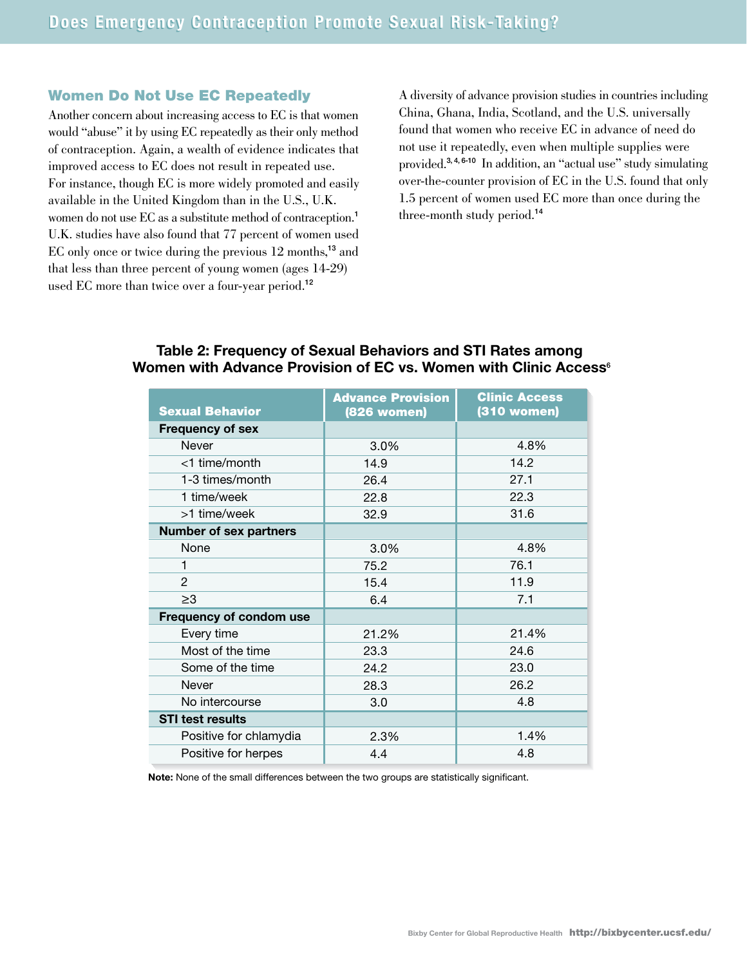#### Women Do Not Use EC Repeatedly

Another concern about increasing access to EC is that women would "abuse" it by using EC repeatedly as their only method of contraception. Again, a wealth of evidence indicates that improved access to EC does not result in repeated use. For instance, though EC is more widely promoted and easily available in the United Kingdom than in the U.S., U.K. women do not use EC as a substitute method of contraception.<sup>1</sup> U.K. studies have also found that 77 percent of women used EC only once or twice during the previous 12 months,<sup>13</sup> and that less than three percent of young women (ages 14-29) used EC more than twice over a four-year period.<sup>12</sup>

A diversity of advance provision studies in countries including China, Ghana, India, Scotland, and the U.S. universally found that women who receive EC in advance of need do not use it repeatedly, even when multiple supplies were provided.3, 4, 6-10 In addition, an "actual use" study simulating over-the-counter provision of EC in the U.S. found that only 1.5 percent of women used EC more than once during the three-month study period.<sup>14</sup>

| <b>Sexual Behavior</b>         | <b>Advance Provision</b><br>(826 women) | <b>Clinic Access</b><br>(310 women) |
|--------------------------------|-----------------------------------------|-------------------------------------|
| <b>Frequency of sex</b>        |                                         |                                     |
| Never                          | 3.0%                                    | 4.8%                                |
| <1 time/month                  | 14.9                                    | 14.2                                |
| 1-3 times/month                | 26.4                                    | 27.1                                |
| 1 time/week                    | 22.8                                    | 22.3                                |
| >1 time/week                   | 32.9                                    | 31.6                                |
| <b>Number of sex partners</b>  |                                         |                                     |
| None                           | 3.0%                                    | 4.8%                                |
| 1                              | 75.2                                    | 76.1                                |
| $\overline{2}$                 | 15.4                                    | 11.9                                |
| $\geq 3$                       | 6.4                                     | 7.1                                 |
| <b>Frequency of condom use</b> |                                         |                                     |
| Every time                     | 21.2%                                   | 21.4%                               |
| Most of the time               | 23.3                                    | 24.6                                |
| Some of the time               | 24.2                                    | 23.0                                |
| Never                          | 28.3                                    | 26.2                                |
| No intercourse                 | 3.0                                     | 4.8                                 |
| <b>STI test results</b>        |                                         |                                     |
| Positive for chlamydia         | 2.3%                                    | 1.4%                                |
| Positive for herpes            | 4.4                                     | 4.8                                 |
|                                |                                         |                                     |

#### **Table 2: Frequency of Sexual Behaviors and STI Rates among Women with Advance Provision of EC vs. Women with Clinic Access**<sup>6</sup>

**Note:** None of the small differences between the two groups are statistically significant.